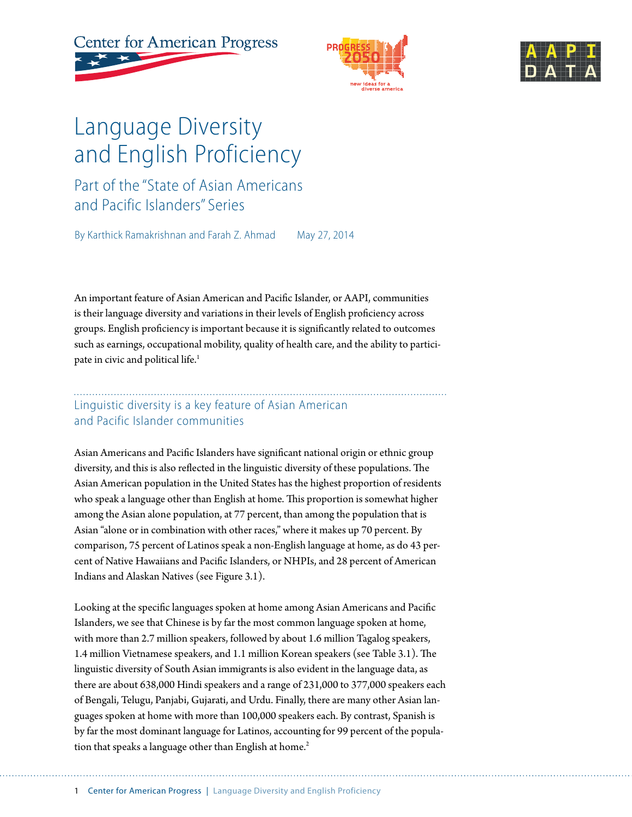





# Language Diversity and English Proficiency

Part of the "State of Asian Americans and Pacific Islanders" Series

By Karthick Ramakrishnan and Farah Z. Ahmad May 27, 2014

An important feature of Asian American and Pacific Islander, or AAPI, communities is their language diversity and variations in their levels of English proficiency across groups. English proficiency is important because it is significantly related to outcomes such as earnings, occupational mobility, quality of health care, and the ability to participate in civic and political life.<sup>1</sup>

### Linguistic diversity is a key feature of Asian American and Pacific Islander communities

Asian Americans and Pacific Islanders have significant national origin or ethnic group diversity, and this is also reflected in the linguistic diversity of these populations. The Asian American population in the United States has the highest proportion of residents who speak a language other than English at home. This proportion is somewhat higher among the Asian alone population, at 77 percent, than among the population that is Asian "alone or in combination with other races," where it makes up 70 percent. By comparison, 75 percent of Latinos speak a non-English language at home, as do 43 percent of Native Hawaiians and Pacific Islanders, or NHPIs, and 28 percent of American Indians and Alaskan Natives (see Figure 3.1).

Looking at the specific languages spoken at home among Asian Americans and Pacific Islanders, we see that Chinese is by far the most common language spoken at home, with more than 2.7 million speakers, followed by about 1.6 million Tagalog speakers, 1.4 million Vietnamese speakers, and 1.1 million Korean speakers (see Table 3.1). The linguistic diversity of South Asian immigrants is also evident in the language data, as there are about 638,000 Hindi speakers and a range of 231,000 to 377,000 speakers each of Bengali, Telugu, Panjabi, Gujarati, and Urdu. Finally, there are many other Asian languages spoken at home with more than 100,000 speakers each. By contrast, Spanish is by far the most dominant language for Latinos, accounting for 99 percent of the population that speaks a language other than English at home.<sup>2</sup>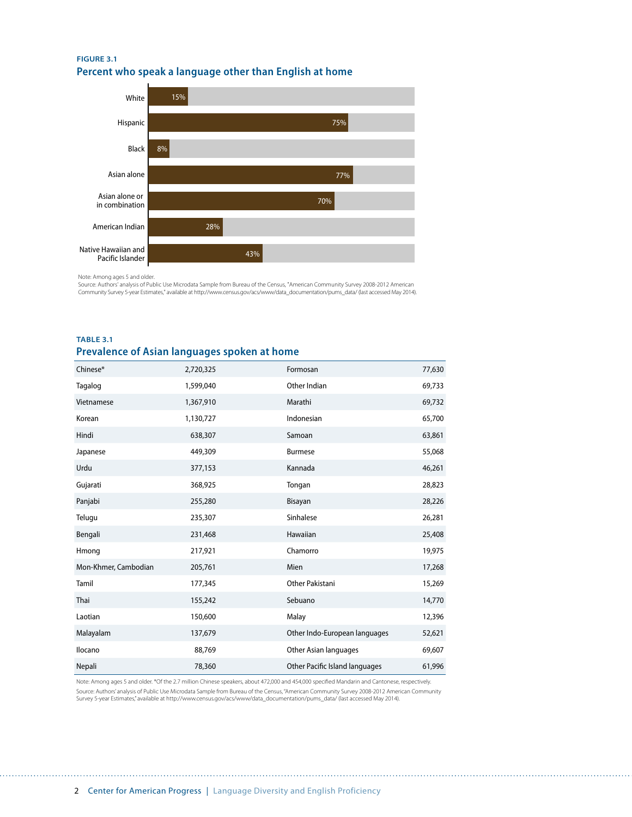#### **FIGURE 3.1 Percent who speak a language other than English at home**



Note: Among ages 5 and older.

Source: Authors' analysis of Public Use Microdata Sample from Bureau of the Census, "American Community Survey 2008-2012 American<br>Community Survey 5-year Estimates," available at http://www.census.gov/acs/www/data\_document

#### **TABLE 3.1 Prevalence of Asian languages spoken at home**

| Chinese*             | 2,720,325 | Formosan                       | 77,630 |
|----------------------|-----------|--------------------------------|--------|
| Tagalog              | 1,599,040 | Other Indian                   | 69,733 |
| Vietnamese           | 1,367,910 | Marathi                        | 69,732 |
| Korean               | 1,130,727 | Indonesian                     | 65,700 |
| Hindi                | 638,307   | Samoan                         | 63,861 |
| Japanese             | 449,309   | <b>Burmese</b>                 | 55,068 |
| Urdu                 | 377,153   | Kannada                        | 46,261 |
| Gujarati             | 368,925   | Tongan                         | 28,823 |
| Panjabi              | 255,280   | Bisayan                        | 28,226 |
| Telugu               | 235,307   | Sinhalese                      | 26,281 |
| Bengali              | 231,468   | Hawaiian                       | 25,408 |
| Hmong                | 217,921   | Chamorro                       | 19,975 |
| Mon-Khmer, Cambodian | 205,761   | Mien                           | 17,268 |
| Tamil                | 177,345   | Other Pakistani                | 15,269 |
| Thai                 | 155,242   | Sebuano                        | 14,770 |
| Laotian              | 150,600   | Malay                          | 12,396 |
| Malayalam            | 137,679   | Other Indo-European languages  | 52,621 |
| <b>Ilocano</b>       | 88,769    | Other Asian languages          | 69,607 |
| Nepali               | 78,360    | Other Pacific Island languages | 61,996 |

Note: Among ages 5 and older. \*Of the 2.7 million Chinese speakers, about 472,000 and 454,000 specified Mandarin and Cantonese, respectively. Source: Authors' analysis of Public Use Microdata Sample from Bureau of the Census, "American Community Survey 2008-2012 American Community Survey 5-year Estimates," available at http://www.census.gov/acs/www/data\_documentation/pums\_data/ (last accessed May 2014).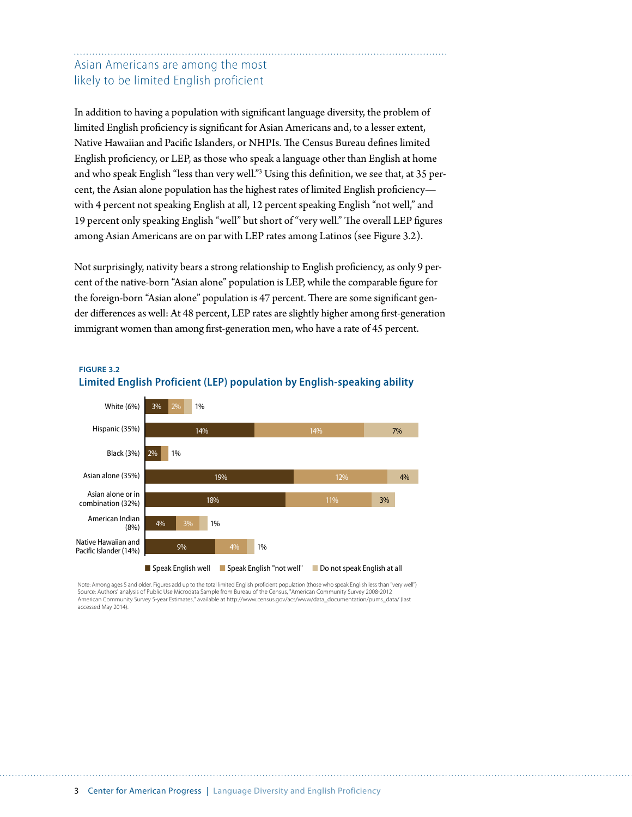### Asian Americans are among the most likely to be limited English proficient

In addition to having a population with significant language diversity, the problem of limited English proficiency is significant for Asian Americans and, to a lesser extent, Native Hawaiian and Pacific Islanders, or NHPIs. The Census Bureau defines limited English proficiency, or LEP, as those who speak a language other than English at home and who speak English "less than very well."<sup>3</sup> Using this definition, we see that, at 35 percent, the Asian alone population has the highest rates of limited English proficiency with 4 percent not speaking English at all, 12 percent speaking English "not well," and 19 percent only speaking English "well" but short of "very well." The overall LEP figures among Asian Americans are on par with LEP rates among Latinos (see Figure 3.2).

Not surprisingly, nativity bears a strong relationship to English proficiency, as only 9 percent of the native-born "Asian alone" population is LEP, while the comparable figure for the foreign-born "Asian alone" population is 47 percent. There are some significant gender differences as well: At 48 percent, LEP rates are slightly higher among first-generation immigrant women than among first-generation men, who have a rate of 45 percent.



#### **FIGURE 3.2 Limited English Proficient (LEP) population by English-speaking ability**

Note: Among ages 5 and older. Figures add up to the total limited English proficient population (those who speak English less than "very well") Source: Authors' analysis of Public Use Microdata Sample from Bureau of the Census, "American Community Survey 2008-2012 American Community Survey 5-year Estimates," available at http://www.census.gov/acs/www/data\_documentation/pums\_data/ (last accessed May 2014).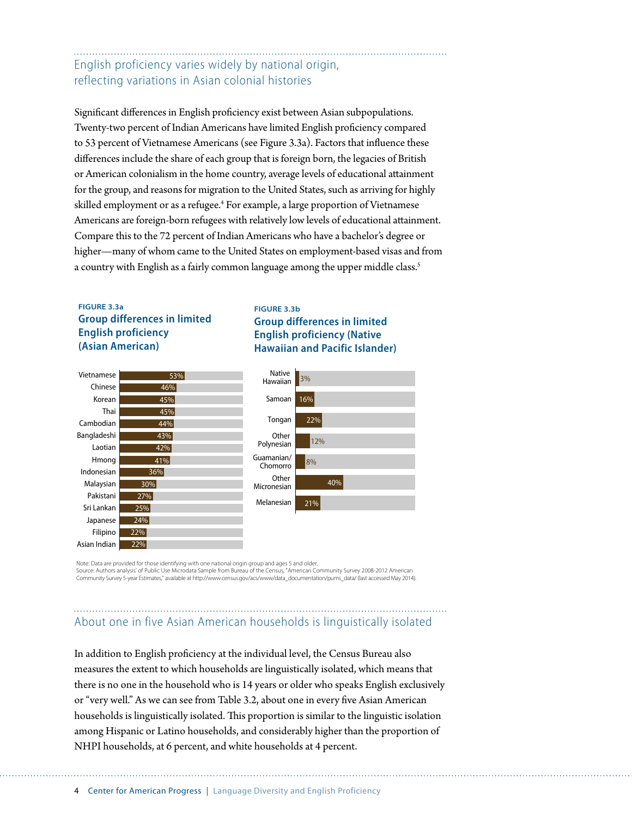### English proficiency varies widely by national origin, reflecting variations in Asian colonial histories

Significant differences in English proficiency exist between Asian subpopulations. Twenty-two percent of Indian Americans have limited English proficiency compared to 53 percent of Vietnamese Americans (see Figure 3.3a). Factors that influence these differences include the share of each group that is foreign born, the legacies of British or American colonialism in the home country, average levels of educational attainment for the group, and reasons for migration to the United States, such as arriving for highly skilled employment or as a refugee.<sup>4</sup> For example, a large proportion of Vietnamese Americans are foreign-born refugees with relatively low levels of educational attainment. Compare this to the 72 percent of Indian Americans who have a bachelor's degree or higher—many of whom came to the United States on employment-based visas and from a country with English as a fairly common language among the upper middle class.<sup>5</sup>

#### **FIGURE 3.3a Group differences in limited English proficiency (Asian American)**

#### **FIGURE 3.3b Group differences in limited English proficiency (Native Hawaiian and Pacific Islander)**



Note: Data are provided for those identifying with one national origin group and ages 5 and older. Source: Authors analysis' of Public Use Microdata Sample from Bureau of the Census, "American Community Survey 2008-2012 American Community Survey 5-year Estimates," available at http://www.census.gov/acs/www/data\_documentation/pums\_data/ (last accessed May 2014).

### About one in five Asian American households is linguistically isolated

In addition to English proficiency at the individual level, the Census Bureau also measures the extent to which households are linguistically isolated, which means that there is no one in the household who is 14 years or older who speaks English exclusively or "very well." As we can see from Table 3.2, about one in every five Asian American households is linguistically isolated. This proportion is similar to the linguistic isolation among Hispanic or Latino households, and considerably higher than the proportion of NHPI households, at 6 percent, and white households at 4 percent.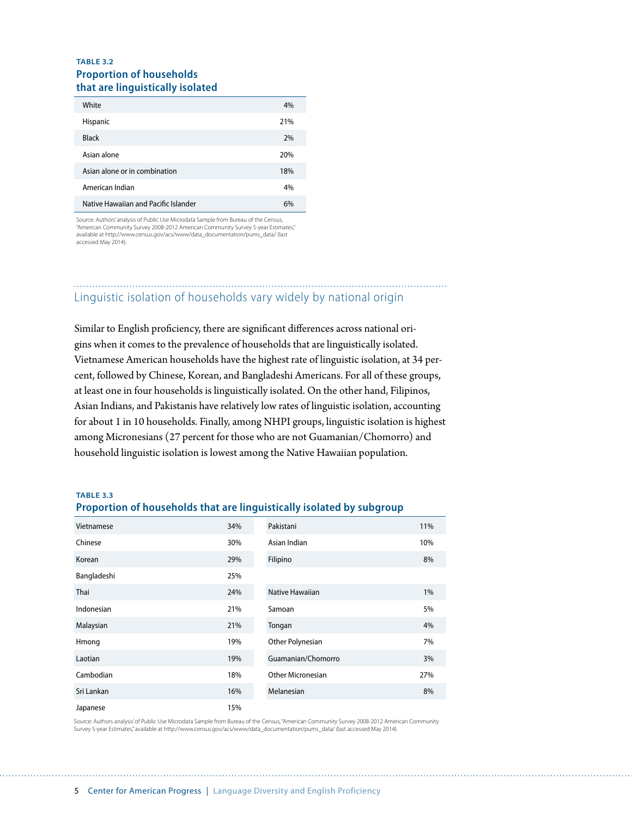#### **TABLE 3.2 Proportion of households that are linguistically isolated**

| White                                | 4%  |
|--------------------------------------|-----|
| Hispanic                             | 21% |
| <b>Black</b>                         | 2%  |
| Asian alone                          | 20% |
| Asian alone or in combination        | 18% |
| American Indian                      | 4%  |
| Native Hawaiian and Pacific Islander | 6%  |

Source: Authors' analysis of Public Use Microdata Sample from Bureau of the Census, "American Community Survey 2008-2012 American Community Survey 5-year Estimates," available at http://www.census.gov/acs/www/data\_documentation/pums\_data/ (last accessed May 2014).

### Linguistic isolation of households vary widely by national origin

Similar to English proficiency, there are significant differences across national origins when it comes to the prevalence of households that are linguistically isolated. Vietnamese American households have the highest rate of linguistic isolation, at 34 percent, followed by Chinese, Korean, and Bangladeshi Americans. For all of these groups, at least one in four households is linguistically isolated. On the other hand, Filipinos, Asian Indians, and Pakistanis have relatively low rates of linguistic isolation, accounting for about 1 in 10 households. Finally, among NHPI groups, linguistic isolation is highest among Micronesians (27 percent for those who are not Guamanian/Chomorro) and household linguistic isolation is lowest among the Native Hawaiian population.

**TABLE 3.3**

#### **Proportion of households that are linguistically isolated by subgroup**

| Vietnamese  | 34% | Pakistani          | 11% |
|-------------|-----|--------------------|-----|
| Chinese     | 30% | Asian Indian       | 10% |
| Korean      | 29% | Filipino           | 8%  |
| Bangladeshi | 25% |                    |     |
| Thai        | 24% | Native Hawaiian    | 1%  |
| Indonesian  | 21% | Samoan             | 5%  |
| Malaysian   | 21% | Tongan             | 4%  |
| Hmong       | 19% | Other Polynesian   | 7%  |
| Laotian     | 19% | Guamanian/Chomorro | 3%  |
| Cambodian   | 18% | Other Micronesian  | 27% |
| Sri Lankan  | 16% | Melanesian         | 8%  |
| Japanese    | 15% |                    |     |

Source: Authors analysis' of Public Use Microdata Sample from Bureau of the Census, "American Community Survey 2008-2012 American Community Survey 5-year Estimates," available at http://www.census.gov/acs/www/data\_documentation/pums\_data/ (last accessed May 2014).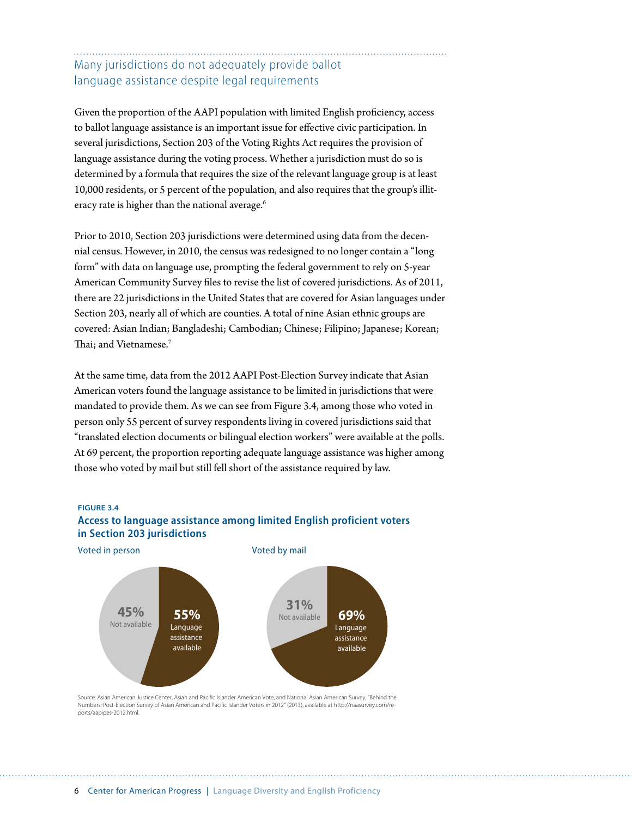### Many jurisdictions do not adequately provide ballot language assistance despite legal requirements

Given the proportion of the AAPI population with limited English proficiency, access to ballot language assistance is an important issue for effective civic participation. In several jurisdictions, Section 203 of the Voting Rights Act requires the provision of language assistance during the voting process. Whether a jurisdiction must do so is determined by a formula that requires the size of the relevant language group is at least 10,000 residents, or 5 percent of the population, and also requires that the group's illiteracy rate is higher than the national average.<sup>6</sup>

Prior to 2010, Section 203 jurisdictions were determined using data from the decennial census. However, in 2010, the census was redesigned to no longer contain a "long form" with data on language use, prompting the federal government to rely on 5-year American Community Survey files to revise the list of covered jurisdictions. As of 2011, there are 22 jurisdictions in the United States that are covered for Asian languages under Section 203, nearly all of which are counties. A total of nine Asian ethnic groups are covered: Asian Indian; Bangladeshi; Cambodian; Chinese; Filipino; Japanese; Korean; Thai; and Vietnamese.<sup>7</sup>

At the same time, data from the 2012 AAPI Post-Election Survey indicate that Asian American voters found the language assistance to be limited in jurisdictions that were mandated to provide them. As we can see from Figure 3.4, among those who voted in person only 55 percent of survey respondents living in covered jurisdictions said that "translated election documents or bilingual election workers" were available at the polls. At 69 percent, the proportion reporting adequate language assistance was higher among those who voted by mail but still fell short of the assistance required by law.

**FIGURE 3.4**



### **Access to language assistance among limited English proficient voters in Section 203 jurisdictions**

Source: Asian American Justice Center, Asian and Pacific Islander American Vote, and National Asian American Survey, "Behind the Numbers: Post-Election Survey of Asian American and Pacific Islander Voters in 2012" (2013), available at http://naasurvey.com/reports/aapipes-2012.html.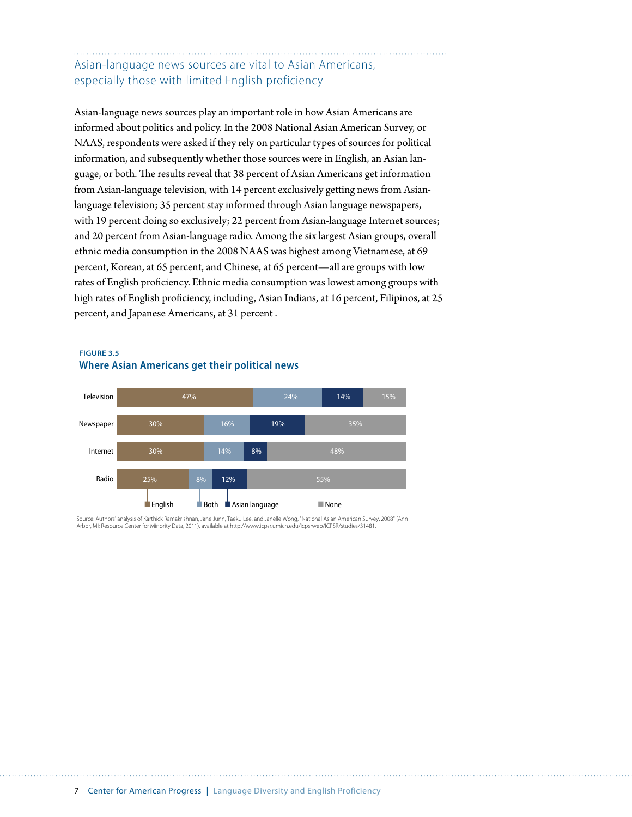### Asian-language news sources are vital to Asian Americans, especially those with limited English proficiency

Asian-language news sources play an important role in how Asian Americans are informed about politics and policy. In the 2008 National Asian American Survey, or NAAS, respondents were asked if they rely on particular types of sources for political information, and subsequently whether those sources were in English, an Asian language, or both. The results reveal that 38 percent of Asian Americans get information from Asian-language television, with 14 percent exclusively getting news from Asianlanguage television; 35 percent stay informed through Asian language newspapers, with 19 percent doing so exclusively; 22 percent from Asian-language Internet sources; and 20 percent from Asian-language radio. Among the six largest Asian groups, overall ethnic media consumption in the 2008 NAAS was highest among Vietnamese, at 69 percent, Korean, at 65 percent, and Chinese, at 65 percent—all are groups with low rates of English proficiency. Ethnic media consumption was lowest among groups with high rates of English proficiency, including, Asian Indians, at 16 percent, Filipinos, at 25 percent, and Japanese Americans, at 31 percent .

#### **FIGURE 3.5 Where Asian Americans get their political news**



Source: Authors' analysis of Karthick Ramakrishnan, Jane Junn, Taeku Lee, and Janelle Wong, "National Asian American Survey, 2008" (Ann Arbor, MI: Resource Center for Minority Data, 2011), available at http://www.icpsr.umich.edu/icpsrweb/ICPSR/studies/31481.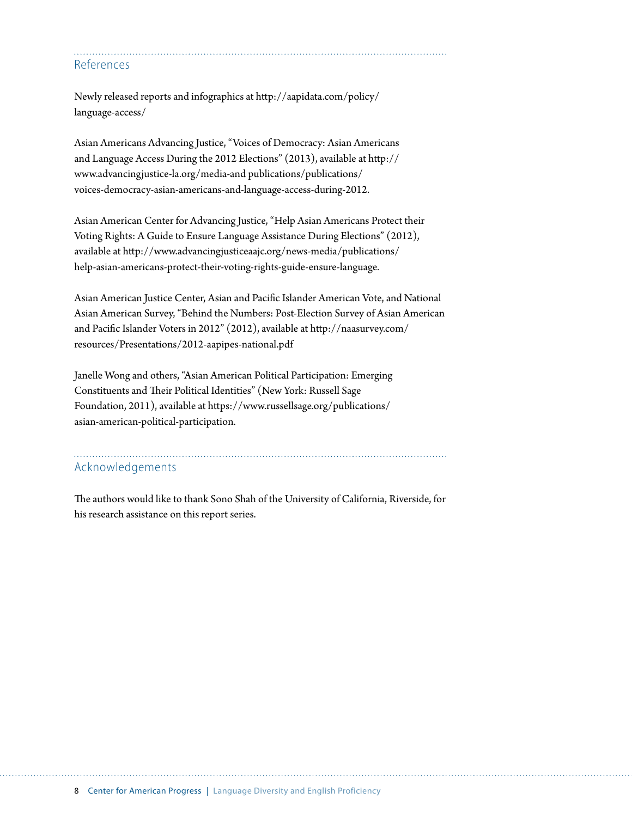References

Newly released reports and infographics at [http://aapidata.com/policy/](http://aapidata.com/policy/language-access/) [language-access/](http://aapidata.com/policy/language-access/)

Asian Americans Advancing Justice, "Voices of Democracy: Asian Americans and Language Access During the 2012 Elections" (2013), available at [http://](http://www.advancingjustice-la.org/media-and) [www.advancingjustice-la.org/media-and](http://www.advancingjustice-la.org/media-and) publications/publications/ voices-democracy-asian-americans-and-language-access-during-2012.

Asian American Center for Advancing Justice, "Help Asian Americans Protect their Voting Rights: A Guide to Ensure Language Assistance During Elections" (2012), available at [http://www.advancingjusticea](http://www.advancingjustice)ajc.org/news-media/publications/ help-asian-americans-protect-their-voting-rights-guide-ensure-language.

Asian American Justice Center, Asian and Pacific Islander American Vote, and National Asian American Survey, "Behind the Numbers: Post-Election Survey of Asian American and Pacific Islander Voters in 2012" (2012), available at http://naasurvey.com/ resources/Presentations/2012-aapipes-national.pdf

Janelle Wong and others, "Asian American Political Participation: Emerging Constituents and Their Political Identities" (New York: Russell Sage Foundation, 2011), available at https://www.russellsage.org/publications/ asian-american-political-participation.

## Acknowledgements

The authors would like to thank Sono Shah of the University of California, Riverside, for his research assistance on this report series.